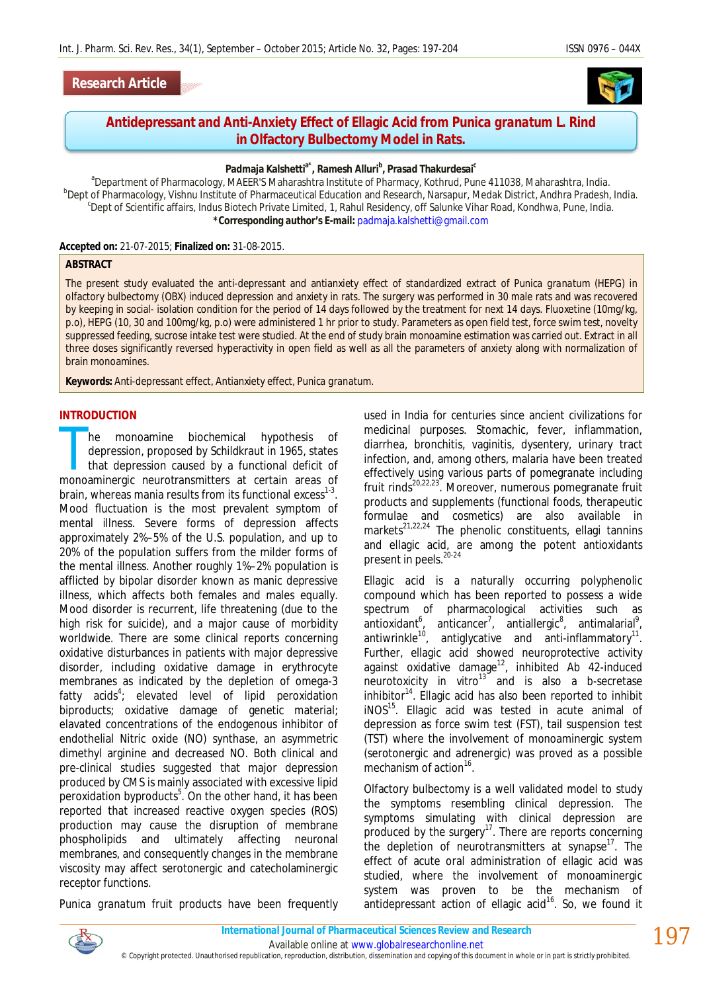



# **Antidepressant and Anti-Anxiety Effect of Ellagic Acid from** *Punica granatum* **L. Rind in Olfactory Bulbectomy Model in Rats.**

### **Padmaja Kalshettia\*, Ramesh Alluri<sup>b</sup> , Prasad Thakurdesai<sup>c</sup>**

<sup>a</sup>Department of Pharmacology, MAEER'S Maharashtra Institute of Pharmacy, Kothrud, Pune 411038, Maharashtra, India. **b** ept of Pharmacology, Vishnu Institute of Pharmaceutical Education and Research, Narsapur, Medak District, Andhra Pradesh, India. c Dept of Scientific affairs, Indus Biotech Private Limited, 1, Rahul Residency, off Salunke Vihar Road, Kondhwa, Pune, India. **\*Corresponding author's E-mail:** padmaja.kalshetti@gmail.com

#### **Accepted on:** 21-07-2015; **Finalized on:** 31-08-2015.

#### **ABSTRACT**

The present study evaluated the anti-depressant and antianxiety effect of standardized extract of *Punica granatum* (HEPG) in olfactory bulbectomy (OBX) induced depression and anxiety in rats. The surgery was performed in 30 male rats and was recovered by keeping in social- isolation condition for the period of 14 days followed by the treatment for next 14 days. Fluoxetine (10mg/kg, p.o), HEPG (10, 30 and 100mg/kg, p.o) were administered 1 hr prior to study. Parameters as open field test, force swim test, novelty suppressed feeding, sucrose intake test were studied. At the end of study brain monoamine estimation was carried out. Extract in all three doses significantly reversed hyperactivity in open field as well as all the parameters of anxiety along with normalization of brain monoamines.

**Keywords:** Anti-depressant effect, Antianxiety effect, *Punica granatum.*

#### **INTRODUCTION**

he monoamine biochemical hypothesis of depression, proposed by Schildkraut in 1965, states that depression caused by a functional deficit of he monoamine biochemical hypothesis of depression, proposed by Schildkraut in 1965, states that depression caused by a functional deficit of monoaminergic neurotransmitters at certain areas of brain, whereas mania results from its functional excess $^{1-3}$ . Mood fluctuation is the most prevalent symptom of mental illness. Severe forms of depression affects approximately 2%–5% of the U.S. population, and up to 20% of the population suffers from the milder forms of the mental illness. Another roughly 1%–2% population is afflicted by bipolar disorder known as manic depressive illness, which affects both females and males equally. Mood disorder is recurrent, life threatening (due to the high risk for suicide), and a major cause of morbidity worldwide. There are some clinical reports concerning oxidative disturbances in patients with major depressive disorder, including oxidative damage in erythrocyte membranes as indicated by the depletion of omega-3 fatty acids<sup>4</sup>; elevated level of lipid peroxidation biproducts; oxidative damage of genetic material; elavated concentrations of the endogenous inhibitor of endothelial Nitric oxide (NO) synthase, an asymmetric dimethyl arginine and decreased NO. Both clinical and pre-clinical studies suggested that major depression produced by CMS is mainly associated with excessive lipid peroxidation byproducts<sup>5</sup>. On the other hand, it has been reported that increased reactive oxygen species (ROS) production may cause the disruption of membrane phospholipids and ultimately affecting neuronal membranes, and consequently changes in the membrane viscosity may affect serotonergic and catecholaminergic receptor functions.

*Punica granatum* fruit products have been frequently

used in India for centuries since ancient civilizations for medicinal purposes. Stomachic, fever, inflammation, diarrhea, bronchitis, vaginitis, dysentery, urinary tract infection, and, among others, malaria have been treated effectively using various parts of pomegranate including fruit rinds<sup>20,22,23</sup>. Moreover, numerous pomegranate fruit products and supplements (functional foods, therapeutic formulae and cosmetics) are also available in markets<sup>21,22,24</sup> The phenolic constituents, ellagi tannins and ellagic acid, are among the potent antioxidants present in peels.<sup>20-24</sup>

Ellagic acid is a naturally occurring polyphenolic compound which has been reported to possess a wide spectrum of pharmacological activities such as antioxidant<sup>6</sup>, anticancer<sup>7</sup>, antiallergic<sup>8</sup>, antimalarial<sup>9</sup>, antiwrinkle $^{10}$ , antiglycative and anti-inflammatory $^{11}$ . Further, ellagic acid showed neuroprotective activity against oxidative damage<sup>12</sup>, inhibited A*b* 42-induced neurotoxicity *in vitro*<sup>13</sup> and is also a *b*-secretase inhibitor<sup>14</sup>. Ellagic acid has also been reported to inhibit iNOS<sup>15</sup>. Ellagic acid was tested in acute animal of depression as force swim test (FST), tail suspension test (TST) where the involvement of monoaminergic system (serotonergic and adrenergic) was proved as a possible mechanism of action<sup>16</sup>.

Olfactory bulbectomy is a well validated model to study the symptoms resembling clinical depression. The symptoms simulating with clinical depression are produced by the surgery $17$ . There are reports concerning the depletion of neurotransmitters at synapse<sup>17</sup>. The effect of acute oral administration of ellagic acid was studied, where the involvement of monoaminergic system was proven to be the mechanism of antidepressant action of ellagic acid<sup>16</sup>. So, we found it



© Copyright protected. Unauthorised republication, reproduction, distribution, dissemination and copying of this document in whole or in part is strictly prohibited.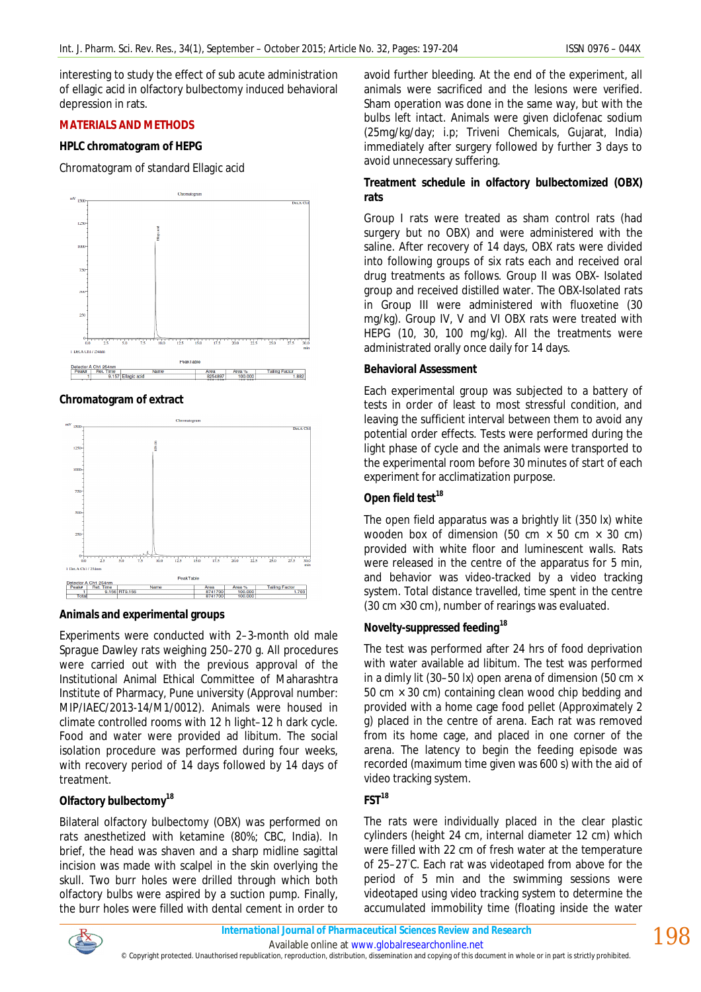interesting to study the effect of sub acute administration of ellagic acid in olfactory bulbectomy induced behavioral depression in rats.

## **MATERIALS AND METHODS**

## **HPLC chromatogram of HEPG**

Chromatogram of standard Ellagic acid



## **Chromatogram of extract**



## **Animals and experimental groups**

Experiments were conducted with 2–3-month old male Sprague Dawley rats weighing 250–270 g. All procedures were carried out with the previous approval of the Institutional Animal Ethical Committee of Maharashtra Institute of Pharmacy, Pune university (Approval number: MIP/IAEC/2013-14/M1/0012). Animals were housed in climate controlled rooms with 12 h light–12 h dark cycle. Food and water were provided ad libitum. The social isolation procedure was performed during four weeks, with recovery period of 14 days followed by 14 days of treatment.

# **Olfactory bulbectomy<sup>18</sup>**

Bilateral olfactory bulbectomy (OBX) was performed on rats anesthetized with ketamine (80%; CBC, India). In brief, the head was shaven and a sharp midline sagittal incision was made with scalpel in the skin overlying the skull. Two burr holes were drilled through which both olfactory bulbs were aspired by a suction pump. Finally, the burr holes were filled with dental cement in order to

avoid further bleeding. At the end of the experiment, all animals were sacrificed and the lesions were verified. Sham operation was done in the same way, but with the bulbs left intact. Animals were given diclofenac sodium (25mg/kg/day; i.p; Triveni Chemicals, Gujarat, India) immediately after surgery followed by further 3 days to avoid unnecessary suffering.

# **Treatment schedule in olfactory bulbectomized (OBX) rats**

Group I rats were treated as sham control rats (had surgery but no OBX) and were administered with the saline. After recovery of 14 days, OBX rats were divided into following groups of six rats each and received oral drug treatments as follows. Group II was OBX- Isolated group and received distilled water. The OBX-Isolated rats in Group III were administered with fluoxetine (30 mg/kg). Group IV, V and VI OBX rats were treated with HEPG (10, 30, 100 mg/kg). All the treatments were administrated orally once daily for 14 days.

## **Behavioral Assessment**

Each experimental group was subjected to a battery of tests in order of least to most stressful condition, and leaving the sufficient interval between them to avoid any potential order effects. Tests were performed during the light phase of cycle and the animals were transported to the experimental room before 30 minutes of start of each experiment for acclimatization purpose.

# *Open field test<sup>18</sup>*

The open field apparatus was a brightly lit (350 lx) white wooden box of dimension (50 cm  $\times$  50 cm  $\times$  30 cm) provided with white floor and luminescent walls. Rats were released in the centre of the apparatus for 5 min, and behavior was video-tracked by a video tracking system. Total distance travelled, time spent in the centre (30 cm ×30 cm), number of rearings was evaluated.

# *Novelty-suppressed feeding<sup>18</sup>*

The test was performed after 24 hrs of food deprivation with water available ad libitum. The test was performed in a dimly lit (30–50 lx) open arena of dimension (50 cm  $\times$ 50 cm  $\times$  30 cm) containing clean wood chip bedding and provided with a home cage food pellet (Approximately 2 g) placed in the centre of arena. Each rat was removed from its home cage, and placed in one corner of the arena. The latency to begin the feeding episode was recorded (maximum time given was 600 s) with the aid of video tracking system.

## *FST<sup>18</sup>*

The rats were individually placed in the clear plastic cylinders (height 24 cm, internal diameter 12 cm) which were filled with 22 cm of fresh water at the temperature of 25-27℃. Each rat was videotaped from above for the period of 5 min and the swimming sessions were videotaped using video tracking system to determine the accumulated immobility time (floating inside the water



Available online at www.globalresearchonline.net

© Copyright protected. Unauthorised republication, reproduction, distribution, dissemination and copying of this document in whole or in part is strictly prohibited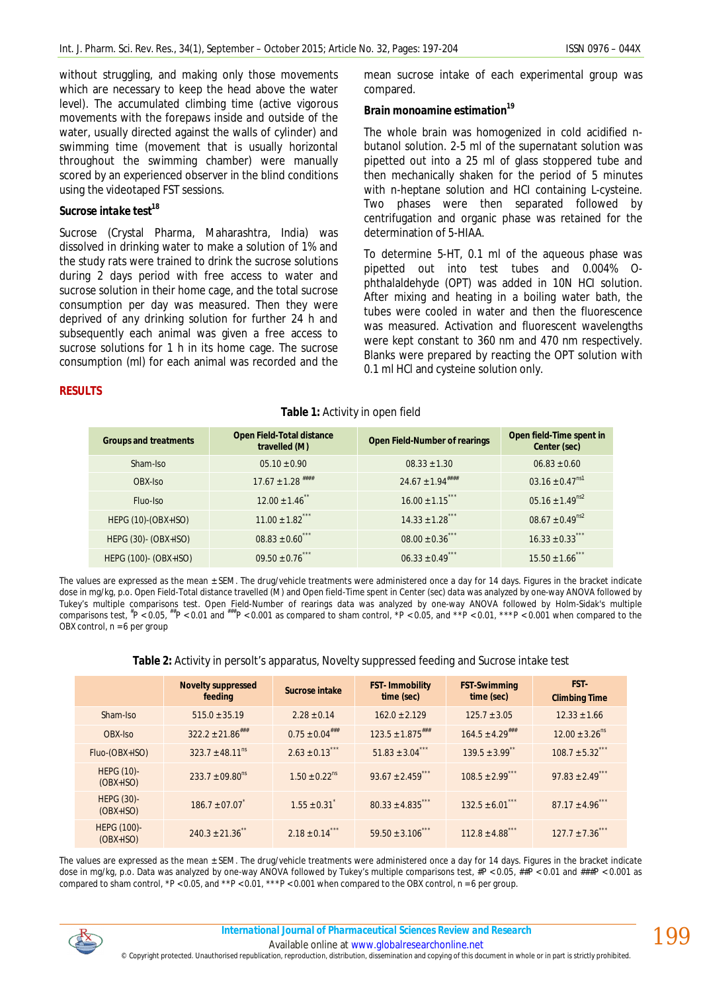without struggling, and making only those movements which are necessary to keep the head above the water level). The accumulated climbing time (active vigorous movements with the forepaws inside and outside of the water, usually directed against the walls of cylinder) and swimming time (movement that is usually horizontal throughout the swimming chamber) were manually scored by an experienced observer in the blind conditions using the videotaped FST sessions.

# *Sucrose intake test<sup>18</sup>*

Sucrose (Crystal Pharma, Maharashtra, India) was dissolved in drinking water to make a solution of 1% and the study rats were trained to drink the sucrose solutions during 2 days period with free access to water and sucrose solution in their home cage, and the total sucrose consumption per day was measured. Then they were deprived of any drinking solution for further 24 h and subsequently each animal was given a free access to sucrose solutions for 1 h in its home cage. The sucrose consumption (ml) for each animal was recorded and the mean sucrose intake of each experimental group was compared.

### *Brain monoamine estimation<sup>19</sup>*

The whole brain was homogenized in cold acidified nbutanol solution. 2-5 ml of the supernatant solution was pipetted out into a 25 ml of glass stoppered tube and then mechanically shaken for the period of 5 minutes with n-heptane solution and HCI containing L-cysteine. Two phases were then separated followed by centrifugation and organic phase was retained for the determination of 5-HIAA.

To determine 5-HT, 0.1 ml of the aqueous phase was pipetted out into test tubes and 0.004% Ophthalaldehyde (OPT) was added in 10N HCI solution. After mixing and heating in a boiling water bath, the tubes were cooled in water and then the fluorescence was measured. Activation and fluorescent wavelengths were kept constant to 360 nm and 470 nm respectively. Blanks were prepared by reacting the OPT solution with 0.1 ml HCl and cysteine solution only.

#### **RESULTS**

### **Table 1:** Activity in open field

| <b>Groups and treatments</b> | <b>Open Field-Total distance</b><br>travelled (M) | <b>Open Field-Number of rearings</b> | Open field-Time spent in<br>Center (sec) |
|------------------------------|---------------------------------------------------|--------------------------------------|------------------------------------------|
| Sham-Iso                     | $05.10 \pm 0.90$                                  | $08.33 + 1.30$                       | $06.83 + 0.60$                           |
| OBX-Iso                      | $17.67 \pm 1.28$ ****                             | $24.67 \pm 1.94$ ####                | $03.16 \pm 0.47$ <sup>ns1</sup>          |
| Fluo-Iso                     | $12.00 \pm 1.46$ **                               | $16.00 \pm 1.15$ ***                 | $05.16 \pm 1.49^{ns2}$                   |
| HEPG (10)-(OBX+ISO)          | $11.00 \pm 1.82$ ***                              | $14.33 \pm 1.28$ <sup>***</sup>      | $08.67 \pm 0.49$ <sup>ns2</sup>          |
| HEPG (30)- (OBX+ISO)         | $08.83 \pm 0.60$ ***                              | $08.00 \pm 0.36$ ***                 | $16.33 \pm 0.33$ ***                     |
| HEPG (100)- (OBX+ISO)        | $09.50 \pm 0.76$                                  | $06.33 \pm 0.49$ ***                 | $15.50 \pm 1.66$ ***                     |

The values are expressed as the mean  $\pm$  SEM. The drug/vehicle treatments were administered once a day for 14 days. Figures in the bracket indicate dose in mg/kg, p.o. Open Field-Total distance travelled (M) and Open field-Time spent in Center (sec) data was analyzed by one-way ANOVA followed by Tukey's multiple comparisons test. Open Field-Number of rearings data was analyzed by one-way ANOVA followed by Holm-Sidak's multiple<br>comparisons test, <sup>\*</sup>P < 0.05, <sup>\*\*</sup>P < 0.01 and <sup>\*\*\*</sup>P < 0.001 as compared to sham contr OBX control,  $n = 6$  per group

### **Table 2:** Activity in persolt's apparatus, Novelty suppressed feeding and Sucrose intake test

|                                  | <b>Novelty suppressed</b><br>feeding | Sucrose intake              | <b>FST-Immobility</b><br>time (sec) | <b>FST-Swimming</b><br>time (sec) | FST-<br><b>Climbing Time</b>   |
|----------------------------------|--------------------------------------|-----------------------------|-------------------------------------|-----------------------------------|--------------------------------|
| Sham-Iso                         | $515.0 \pm 35.19$                    | $2.28 \pm 0.14$             | $162.0 + 2.129$                     | $125.7 \pm 3.05$                  | $12.33 + 1.66$                 |
| OBX-Iso                          | $322.2 \pm 21.86$ ###                | $0.75 \pm 0.04$ ###         | $123.5 \pm 1.875$ <sup>###</sup>    | $164.5 \pm 4.29$ ###              | $12.00 \pm 3.26$ <sup>ns</sup> |
| Fluo-(OBX+ISO)                   | $323.7 \pm 48.11^{\text{ns}}$        | $2.63 \pm 0.13$ ***         | $51.83 \pm 3.04$ ***                | $139.5 \pm 3.99$ **               | $108.7 \pm 5.32$ ***           |
| <b>HEPG (10)-</b><br>$(OBX+ISO)$ | $233.7 + 09.80^{ns}$                 | $1.50 + 0.22$ <sup>ns</sup> | $93.67 \pm 2.459$ ***               | $108.5 + 2.99$ ***                | $97.83 \pm 2.49$ ***           |
| <b>HEPG (30)-</b><br>$(OBX+ISO)$ | $186.7 + 07.07$                      | $1.55 \pm 0.31$             | $80.33 \pm 4.835$ ***               | $132.5 \pm 6.01$ ***              | $87.17 \pm 4.96$ ***           |
| HEPG (100)-<br>$(OBX+ISO)$       | $240.3 \pm 21.36$ **                 | $2.18 \pm 0.14$ ***         | $59.50 \pm 3.106$ ***               | $112.8 \pm 4.88$ ***              | $127.7 \pm 7.36$ ***           |

The values are expressed as the mean + SEM. The drug/vehicle treatments were administered once a day for 14 days. Figures in the bracket indicate dose in mg/kg, p.o. Data was analyzed by one-way ANOVA followed by Tukey's multiple comparisons test, #P < 0.05, ##P < 0.01 and ###P < 0.001 as compared to sham control, \*P < 0.05, and \*\*P < 0.01, \*\*\*P < 0.001 when compared to the OBX control, n = 6 per group.



Available online at www.globalresearchonline.net © Copyright protected. Unauthorised republication, reproduction, distribution, dissemination and copying of this document in whole or in part is strictly prohibited.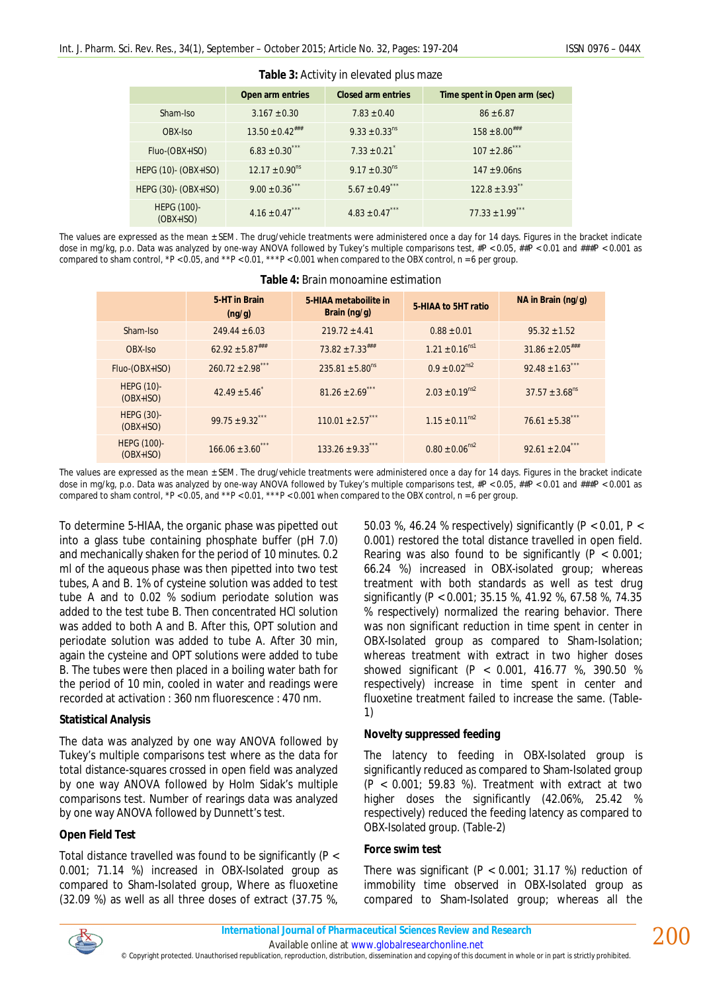|                            | Open arm entries             | <b>Closed arm entries</b>     | Time spent in Open arm (sec)   |  |  |  |
|----------------------------|------------------------------|-------------------------------|--------------------------------|--|--|--|
| Sham-Iso                   | $3.167 \pm 0.30$             | $7.83 \pm 0.40$               | $86 \pm 6.87$                  |  |  |  |
| OBX-Iso                    | $13.50 \pm 0.42$ ###         | $9.33 \pm 0.33$ <sup>ns</sup> | $158 \pm 8.00^{***}$           |  |  |  |
| Fluo-(OBX+ISO)             | $6.83 \pm 0.30$ ***          | $7.33 \pm 0.21$               | $107 \pm 2.86$ ***             |  |  |  |
| HEPG (10)- (OBX+ISO)       | $12.17 \pm 0.90^{\text{ns}}$ | $9.17 \pm 0.30$ <sup>ns</sup> | $147 \pm 9.06$ ns              |  |  |  |
| HEPG (30)- (OBX+ISO)       | $9.00 \pm 0.36$ ***          | $5.67 \pm 0.49$ ***           | $122.8 \pm 3.93$ <sup>**</sup> |  |  |  |
| HEPG (100)-<br>$(OBX+ISO)$ | $4.16 \pm 0.47$ ***          | $4.83 \pm 0.47$ ***           | $77.33 \pm 1.99$ ***           |  |  |  |

**Table 3:** Activity in elevated plus maze

The values are expressed as the mean ± SEM. The drug/vehicle treatments were administered once a day for 14 days. Figures in the bracket indicate dose in mg/kg, p.o. Data was analyzed by one-way ANOVA followed by Tukey's multiple comparisons test, #P < 0.05, ##P < 0.01 and ###P < 0.001 as compared to sham control, \*P < 0.05, and \*\*P < 0.01, \*\*\*P < 0.001 when compared to the OBX control,  $n = 6$  per group.

|                                  | 5-HT in Brain<br>(ng/g)         | 5-HIAA metaboilite in<br>Brain (ng/g) | 5-HIAA to 5HT ratio          | NA in Brain (ng/g)             |  |
|----------------------------------|---------------------------------|---------------------------------------|------------------------------|--------------------------------|--|
| Sham-Iso                         | $249.44 \pm 6.03$               | $219.72 \pm 4.41$                     | $0.88 \pm 0.01$              | $95.32 \pm 1.52$               |  |
| OBX-Iso                          | $62.92 \pm 5.87$ <sup>###</sup> | $73.82 \pm 7.33$ ###                  | $1.21 \pm 0.16^{ns1}$        | $31.86 \pm 2.05$ ###           |  |
| Fluo-(OBX+ISO)                   | $260.72 \pm 2.98$ ***           | $235.81 \pm 5.80$ <sup>ns</sup>       | $0.9 \pm 0.02^{\text{ns2}}$  | $92.48 \pm 1.63$ ***           |  |
| <b>HEPG (10)-</b><br>$(OBX+ISO)$ | $42.49 + 5.46$                  | $81.26 \pm 2.69$ ***                  | $2.03 + 0.19^{ns2}$          | $37.57 \pm 3.68$ <sup>ns</sup> |  |
| HEPG (30)-<br>$(OBX+ISO)$        | $99.75 + 9.32$ ***              | $110.01 \pm 2.57$ ***                 | $1.15 \pm 0.11^{ns2}$        | $76.61 \pm 5.38$               |  |
| HEPG (100)-<br>$(OBX+ISO)$       | $166.06 \pm 3.60$ ***           | $133.26 \pm 9.33$ ***                 | $0.80 \pm 0.06^{\text{ns2}}$ | $92.61 \pm 2.04$ ***           |  |

#### **Table 4:** Brain monoamine estimation

The values are expressed as the mean ± SEM. The drug/vehicle treatments were administered once a day for 14 days. Figures in the bracket indicate dose in mg/kg, p.o. Data was analyzed by one-way ANOVA followed by Tukey's multiple comparisons test, #P < 0.05, ##P < 0.01 and ###P < 0.001 as compared to sham control, \*P < 0.05, and \*\*P < 0.01, \*\*\*P < 0.001 when compared to the OBX control,  $n = 6$  per group.

To determine 5-HIAA, the organic phase was pipetted out into a glass tube containing phosphate buffer (pH 7.0) and mechanically shaken for the period of 10 minutes. 0.2 ml of the aqueous phase was then pipetted into two test tubes, A and B. 1% of cysteine solution was added to test tube A and to 0.02 % sodium periodate solution was added to the test tube B. Then concentrated HCl solution was added to both A and B. After this, OPT solution and periodate solution was added to tube A. After 30 min, again the cysteine and OPT solutions were added to tube B. The tubes were then placed in a boiling water bath for the period of 10 min, cooled in water and readings were recorded at activation : 360 nm fluorescence : 470 nm.

### **Statistical Analysis**

The data was analyzed by one way ANOVA followed by Tukey's multiple comparisons test where as the data for total distance-squares crossed in open field was analyzed by one way ANOVA followed by Holm Sidak's multiple comparisons test. Number of rearings data was analyzed by one way ANOVA followed by Dunnett's test.

### **Open Field Test**

Total distance travelled was found to be significantly (P < 0.001; 71.14 %) increased in OBX-Isolated group as compared to Sham-Isolated group, Where as fluoxetine (32.09 %) as well as all three doses of extract (37.75 %,

50.03 %, 46.24 % respectively) significantly (P < 0.01, P < 0.001) restored the total distance travelled in open field. Rearing was also found to be significantly ( $P < 0.001$ ) 66.24 %) increased in OBX-isolated group; whereas treatment with both standards as well as test drug significantly (P < 0.001; 35.15 %, 41.92 %, 67.58 %, 74.35 % respectively) normalized the rearing behavior. There was non significant reduction in time spent in center in OBX-Isolated group as compared to Sham-Isolation; whereas treatment with extract in two higher doses showed significant (P < 0.001, 416.77 %, 390.50 % respectively) increase in time spent in center and fluoxetine treatment failed to increase the same. (Table-1)

### **Novelty suppressed feeding**

The latency to feeding in OBX-Isolated group is significantly reduced as compared to Sham-Isolated group  $(P < 0.001; 59.83$  %). Treatment with extract at two higher doses the significantly (42.06%, 25.42 % respectively) reduced the feeding latency as compared to OBX-Isolated group. (Table-2)

#### **Force swim test**

There was significant ( $P < 0.001$ ; 31.17 %) reduction of immobility time observed in OBX-Isolated group as compared to Sham-Isolated group; whereas all the



200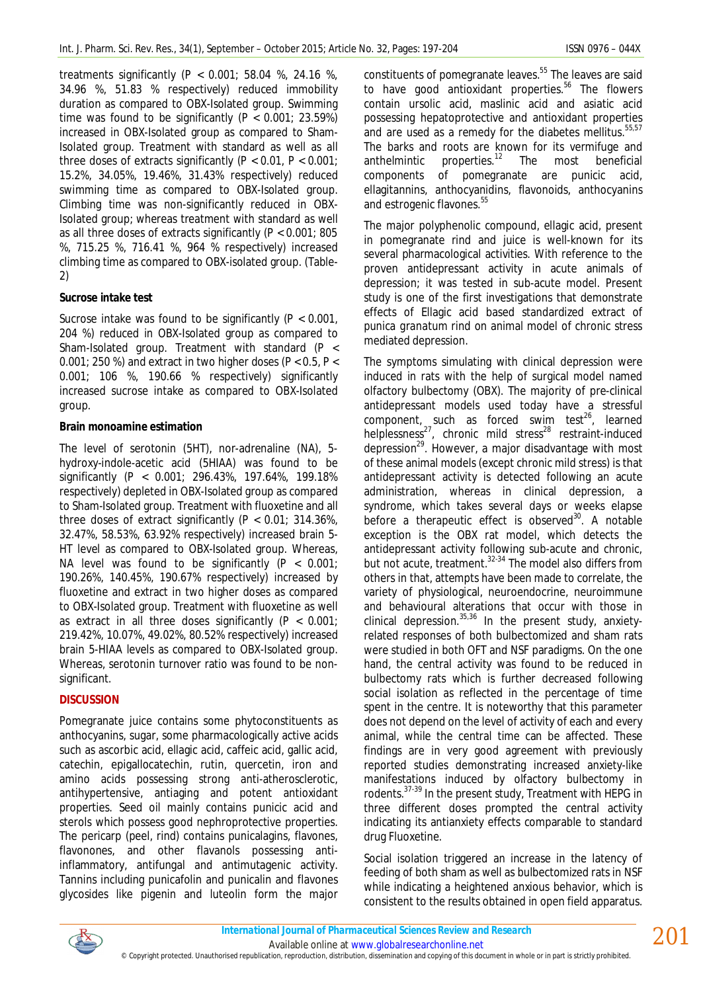treatments significantly (P < 0.001; 58.04 %, 24.16 %, 34.96 %, 51.83 % respectively) reduced immobility duration as compared to OBX-Isolated group. Swimming time was found to be significantly  $(P < 0.001; 23.59%)$ increased in OBX-Isolated group as compared to Sham-Isolated group. Treatment with standard as well as all three doses of extracts significantly ( $P < 0.01$ ,  $P < 0.001$ ; 15.2%, 34.05%, 19.46%, 31.43% respectively) reduced swimming time as compared to OBX-Isolated group. Climbing time was non-significantly reduced in OBX-Isolated group; whereas treatment with standard as well as all three doses of extracts significantly (P < 0.001; 805 %, 715.25 %, 716.41 %, 964 % respectively) increased climbing time as compared to OBX-isolated group. (Table-2)

## **Sucrose intake test**

Sucrose intake was found to be significantly (P < 0.001, 204 %) reduced in OBX-Isolated group as compared to Sham-Isolated group. Treatment with standard (P < 0.001; 250 %) and extract in two higher doses (P < 0.5, P < 0.001; 106 %, 190.66 % respectively) significantly increased sucrose intake as compared to OBX-Isolated group.

## **Brain monoamine estimation**

The level of serotonin (5HT), nor-adrenaline (NA), 5 hydroxy-indole-acetic acid (5HIAA) was found to be significantly (P < 0.001; 296.43%, 197.64%, 199.18% respectively) depleted in OBX-Isolated group as compared to Sham-Isolated group. Treatment with fluoxetine and all three doses of extract significantly (P < 0.01; 314.36%, 32.47%, 58.53%, 63.92% respectively) increased brain 5- HT level as compared to OBX-Isolated group. Whereas, NA level was found to be significantly  $(P < 0.001)$ 190.26%, 140.45%, 190.67% respectively) increased by fluoxetine and extract in two higher doses as compared to OBX-Isolated group. Treatment with fluoxetine as well as extract in all three doses significantly ( $P < 0.001$ ; 219.42%, 10.07%, 49.02%, 80.52% respectively) increased brain 5-HIAA levels as compared to OBX-Isolated group. Whereas, serotonin turnover ratio was found to be nonsignificant.

# **DISCUSSION**

Pomegranate juice contains some phytoconstituents as anthocyanins, sugar, some pharmacologically active acids such as ascorbic acid, ellagic acid, caffeic acid, gallic acid, catechin, epigallocatechin, rutin, quercetin, iron and amino acids possessing strong anti-atherosclerotic, antihypertensive, antiaging and potent antioxidant properties. Seed oil mainly contains punicic acid and sterols which possess good nephroprotective properties. The pericarp (peel, rind) contains punicalagins, flavones, flavonones, and other flavanols possessing antiinflammatory, antifungal and antimutagenic activity. Tannins including punicafolin and punicalin and flavones glycosides like pigenin and luteolin form the major

constituents of pomegranate leaves.<sup>55</sup> The leaves are said to have good antioxidant properties.<sup>56</sup> The flowers contain ursolic acid, maslinic acid and asiatic acid possessing hepatoprotective and antioxidant properties and are used as a remedy for the diabetes mellitus.<sup>55,57</sup> The barks and roots are known for its vermifuge and anthelmintic properties.<sup>12</sup> The most beneficial anthelmintic properties. $12$  The most beneficial components of pomegranate are punicic acid, ellagitannins, anthocyanidins, flavonoids, anthocyanins and estrogenic flavones.<sup>55</sup>

The major polyphenolic compound, ellagic acid, present in pomegranate rind and juice is well-known for its several pharmacological activities. With reference to the proven antidepressant activity in acute animals of depression; it was tested in sub-acute model. Present study is one of the first investigations that demonstrate effects of Ellagic acid based standardized extract of *punica granatum* rind on animal model of chronic stress mediated depression.

The symptoms simulating with clinical depression were induced in rats with the help of surgical model named olfactory bulbectomy (OBX). The majority of pre-clinical antidepressant models used today have a stressful component, such as forced swim test<sup>26</sup>, learned helplessness<sup>27</sup>, chronic mild stress<sup>28</sup> restraint-induced depression<sup>29</sup>. However, a major disadvantage with most of these animal models (except chronic mild stress) is that antidepressant activity is detected following an acute administration, whereas in clinical depression, a syndrome, which takes several days or weeks elapse before a therapeutic effect is observed $30$ . A notable exception is the OBX rat model, which detects the antidepressant activity following sub-acute and chronic, but not acute, treatment.<sup>32-34</sup> The model also differs from others in that, attempts have been made to correlate, the variety of physiological, neuroendocrine, neuroimmune and behavioural alterations that occur with those in clinical depression. $35,36$  In the present study, anxietyrelated responses of both bulbectomized and sham rats were studied in both OFT and NSF paradigms. On the one hand, the central activity was found to be reduced in bulbectomy rats which is further decreased following social isolation as reflected in the percentage of time spent in the centre. It is noteworthy that this parameter does not depend on the level of activity of each and every animal, while the central time can be affected. These findings are in very good agreement with previously reported studies demonstrating increased anxiety-like manifestations induced by olfactory bulbectomy in rodents.37-39 In the present study, Treatment with HEPG in three different doses prompted the central activity indicating its antianxiety effects comparable to standard drug Fluoxetine.

Social isolation triggered an increase in the latency of feeding of both sham as well as bulbectomized rats in NSF while indicating a heightened anxious behavior, which is consistent to the results obtained in open field apparatus.



Available online at www.globalresearchonline.net © Copyright protected. Unauthorised republication, reproduction, distribution, dissemination and copying of this document in whole or in part is strictly prohibited.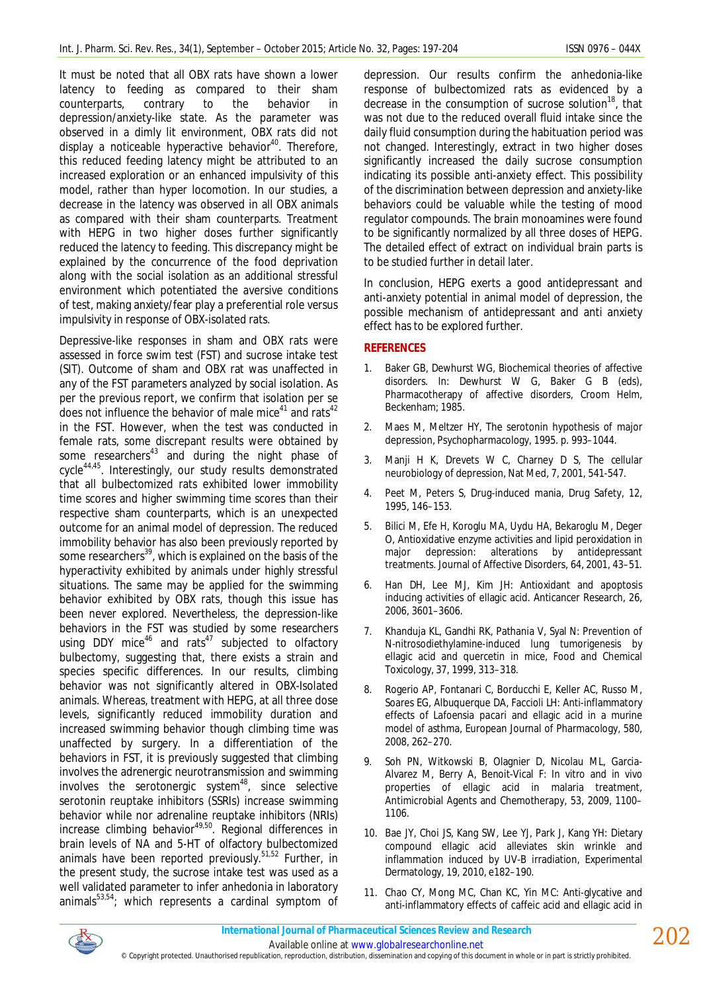It must be noted that all OBX rats have shown a lower latency to feeding as compared to their sham<br>counterparts, contrary to the behavior in counterparts, contrary to the behavior in depression/anxiety-like state. As the parameter was observed in a dimly lit environment, OBX rats did not display a noticeable hyperactive behavior<sup>40</sup>. Therefore, this reduced feeding latency might be attributed to an increased exploration or an enhanced impulsivity of this model, rather than hyper locomotion. In our studies, a decrease in the latency was observed in all OBX animals as compared with their sham counterparts. Treatment with HEPG in two higher doses further significantly reduced the latency to feeding. This discrepancy might be explained by the concurrence of the food deprivation along with the social isolation as an additional stressful environment which potentiated the aversive conditions of test, making anxiety/fear play a preferential role versus impulsivity in response of OBX-isolated rats.

Depressive-like responses in sham and OBX rats were assessed in force swim test (FST) and sucrose intake test (SIT). Outcome of sham and OBX rat was unaffected in any of the FST parameters analyzed by social isolation. As per the previous report, we confirm that isolation per se does not influence the behavior of male mice $41$  and rats $42$ in the FST. However, when the test was conducted in female rats, some discrepant results were obtained by some researchers<sup>43</sup> and during the night phase of cycle44,45. Interestingly, our study results demonstrated that all bulbectomized rats exhibited lower immobility time scores and higher swimming time scores than their respective sham counterparts, which is an unexpected outcome for an animal model of depression. The reduced immobility behavior has also been previously reported by some researchers<sup>39</sup>, which is explained on the basis of the hyperactivity exhibited by animals under highly stressful situations. The same may be applied for the swimming behavior exhibited by OBX rats, though this issue has been never explored. Nevertheless, the depression-like behaviors in the FST was studied by some researchers using DDY mice<sup>46</sup> and rats<sup>47</sup> subjected to olfactory bulbectomy, suggesting that, there exists a strain and species specific differences. In our results, climbing behavior was not significantly altered in OBX-Isolated animals. Whereas, treatment with HEPG, at all three dose levels, significantly reduced immobility duration and increased swimming behavior though climbing time was unaffected by surgery. In a differentiation of the behaviors in FST, it is previously suggested that climbing involves the adrenergic neurotransmission and swimming involves the serotonergic system $48$ , since selective serotonin reuptake inhibitors (SSRIs) increase swimming behavior while nor adrenaline reuptake inhibitors (NRIs) increase climbing behavior<sup>49,50</sup>. Regional differences in brain levels of NA and 5-HT of olfactory bulbectomized animals have been reported previously.<sup>51,52</sup> Further, in the present study, the sucrose intake test was used as a well validated parameter to infer anhedonia in laboratory animals $53,54$ ; which represents a cardinal symptom of

depression. Our results confirm the anhedonia-like response of bulbectomized rats as evidenced by a decrease in the consumption of sucrose solution<sup>18</sup>, that was not due to the reduced overall fluid intake since the daily fluid consumption during the habituation period was not changed. Interestingly, extract in two higher doses significantly increased the daily sucrose consumption indicating its possible anti-anxiety effect. This possibility of the discrimination between depression and anxiety-like behaviors could be valuable while the testing of mood regulator compounds. The brain monoamines were found to be significantly normalized by all three doses of HEPG. The detailed effect of extract on individual brain parts is to be studied further in detail later.

In conclusion, HEPG exerts a good antidepressant and anti-anxiety potential in animal model of depression, the possible mechanism of antidepressant and anti anxiety effect has to be explored further.

## **REFERENCES**

- 1. Baker GB, Dewhurst WG, Biochemical theories of affective disorders. In: Dewhurst W G, Baker G B (eds), Pharmacotherapy of affective disorders, Croom Helm, Beckenham; 1985.
- 2. Maes M, Meltzer HY, The serotonin hypothesis of major depression, Psychopharmacology, 1995. p. 993–1044.
- 3. Manji H K, Drevets W C, Charney D S, The cellular neurobiology of depression, Nat Med, 7, 2001, 541-547.
- 4. Peet M, Peters S, Drug-induced mania, Drug Safety, 12, 1995, 146–153.
- 5. Bilici M, Efe H, Koroglu MA, Uydu HA, Bekaroglu M, Deger O, Antioxidative enzyme activities and lipid peroxidation in major depression: alterations by antidepressant treatments. Journal of Affective Disorders, 64, 2001, 43–51.
- 6. Han DH, Lee MJ, Kim JH: Antioxidant and apoptosis inducing activities of ellagic acid. Anticancer Research, 26, 2006, 3601–3606.
- 7. Khanduja KL, Gandhi RK, Pathania V, Syal N: Prevention of N-nitrosodiethylamine-induced lung tumorigenesis by ellagic acid and quercetin in mice, Food and Chemical Toxicology, 37, 1999, 313–318.
- 8. Rogerio AP, Fontanari C, Borducchi E, Keller AC, Russo M, Soares EG, Albuquerque DA, Faccioli LH: Anti-inflammatory effects of *Lafoensia pacari* and ellagic acid in a murine model of asthma, European Journal of Pharmacology, 580, 2008, 262–270.
- 9. Soh PN, Witkowski B, Olagnier D, Nicolau ML, Garcia-Alvarez M, Berry A, Benoit-Vical F: *In vitro* and i*n vivo*  properties of ellagic acid in malaria treatment, Antimicrobial Agents and Chemotherapy, 53, 2009, 1100– 1106.
- 10. Bae JY, Choi JS, Kang SW, Lee YJ, Park J, Kang YH: Dietary compound ellagic acid alleviates skin wrinkle and inflammation induced by UV-B irradiation, Experimental Dermatology, 19, 2010, e182–190.
- 11. Chao CY, Mong MC, Chan KC, Yin MC: Anti-glycative and anti-inflammatory effects of caffeic acid and ellagic acid in

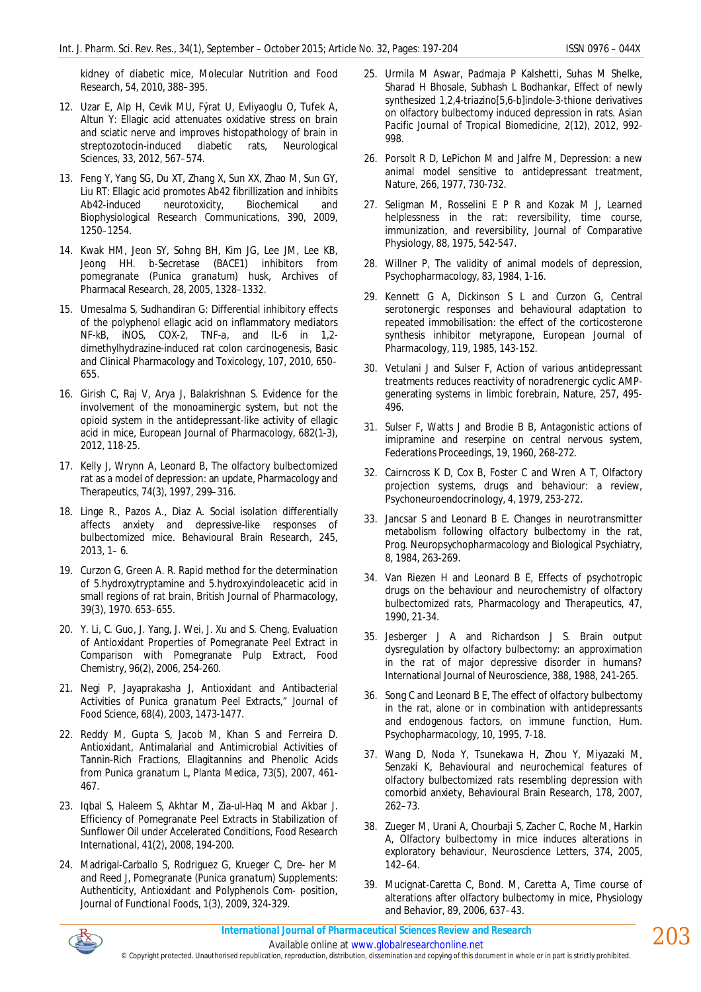kidney of diabetic mice, Molecular Nutrition and Food Research, 54, 2010, 388–395.

- 12. Uzar E, Alp H, Cevik MU, Fýrat U, Evliyaoglu O, Tufek A, Altun Y: Ellagic acid attenuates oxidative stress on brain and sciatic nerve and improves histopathology of brain in streptozotocin-induced diabetic rats, Neurological Sciences, 33, 2012, 567–574.
- 13. Feng Y, Yang SG, Du XT, Zhang X, Sun XX, Zhao M, Sun GY, Liu RT: Ellagic acid promotes A*b*42 fibrillization and inhibits A*b*42-induced neurotoxicity, Biochemical and Biophysiological Research Communications, 390, 2009, 1250–1254.
- 14. Kwak HM, Jeon SY, Sohng BH, Kim JG, Lee JM, Lee KB, Jeong HH. *b*-Secretase (BACE1) inhibitors from pomegranate (*Punica granatum*) husk, Archives of Pharmacal Research, 28, 2005, 1328–1332.
- 15. Umesalma S, Sudhandiran G: Differential inhibitory effects of the polyphenol ellagic acid on inflammatory mediators NF-*k*B, iNOS, COX-2, TNF-*a*, and IL-6 in 1,2 dimethylhydrazine-induced rat colon carcinogenesis, Basic and Clinical Pharmacology and Toxicology, 107, 2010, 650– 655.
- 16. Girish C, Raj V, Arya J, Balakrishnan S. Evidence for the involvement of the monoaminergic system, but not the opioid system in the antidepressant-like activity of ellagic acid in mice, European Journal of Pharmacology, 682(1-3), 2012, 118-25.
- 17. Kelly J, Wrynn A, Leonard B, The olfactory bulbectomized rat as a model of depression: an update, Pharmacology and Therapeutics, 74(3), 1997, 299–316.
- 18. Linge R., Pazos A., Diaz A. Social isolation differentially affects anxiety and depressive-like responses of bulbectomized mice. Behavioural Brain Research, 245, 2013, 1– 6.
- 19. Curzon G, Green A. R. Rapid method for the determination of 5.hydroxytryptamine and 5.hydroxyindoleacetic acid in small regions of rat brain, British Journal of Pharmacology, 39(3), 1970. 653–655.
- 20. Y. Li, C. Guo, J. Yang, J. Wei, J. Xu and S. Cheng, Evaluation of Antioxidant Properties of Pomegranate Peel Extract in Comparison with Pomegranate Pulp Extract, *Food Chemistry,* 96(2), 2006, 254-260.
- 21. Negi P, Jayaprakasha J, Antioxidant and Antibacterial Activities of *Punica granatum* Peel Extracts," *Journal of Food Science,* 68(4), 2003, 1473-1477.
- 22. Reddy M, Gupta S, Jacob M, Khan S and Ferreira D. Antioxidant, Antimalarial and Antimicrobial Activities of Tannin-Rich Fractions, Ellagitannins and Phenolic Acids from *Punica granatum* L, *Planta Medica,* 73(5), 2007, 461- 467.
- 23. Iqbal S, Haleem S, Akhtar M, Zia-ul-Haq M and Akbar J. Efficiency of Pomegranate Peel Extracts in Stabilization of Sunflower Oil under Accelerated Conditions, *Food Research International,* 41(2), 2008, 194-200.
- 24. Madrigal-Carballo S, Rodriguez G, Krueger C, Dre- her M and Reed J, Pomegranate (*Punica granatum*) Supplements: Authenticity, Antioxidant and Polyphenols Com- position, *Journal of Functional Foods,* 1(3), 2009, 324-329.
- 25. Urmila M Aswar, Padmaja P Kalshetti, Suhas M Shelke, Sharad H Bhosale, Subhash L Bodhankar, Effect of newly synthesized 1,2,4-triazino[5,6-b]indole-3-thione derivatives on olfactory bulbectomy induced depression in rats. *Asian Pacific Journal of Tropical Biomedicine,* 2(12), 2012, 992- 998.
- 26. Porsolt R D, LePichon M and Jalfre M, Depression: a new animal model sensitive to antidepressant treatment, Nature, 266, 1977, 730-732.
- 27. Seligman M, Rosselini E P R and Kozak M J, Learned helplessness in the rat: reversibility, time course, immunization, and reversibility, Journal of Comparative Physiology, 88, 1975, 542-547.
- 28. Willner P, The validity of animal models of depression, Psychopharmacology, 83, 1984, 1-16.
- 29. Kennett G A, Dickinson S L and Curzon G, Central serotonergic responses and behavioural adaptation to repeated immobilisation: the effect of the corticosterone synthesis inhibitor metyrapone, European Journal of Pharmacology, 119, 1985, 143-152.
- 30. Vetulani J and Sulser F, Action of various antidepressant treatments reduces reactivity of noradrenergic cyclic AMPgenerating systems in limbic forebrain, Nature, 257, 495- 496.
- 31. Sulser F, Watts J and Brodie B B, Antagonistic actions of imipramine and reserpine on central nervous system, Federations Proceedings, 19, 1960, 268-272.
- 32. Cairncross K D, Cox B, Foster C and Wren A T, Olfactory projection systems, drugs and behaviour: a review, Psychoneuroendocrinology, 4, 1979, 253-272.
- 33. Jancsar S and Leonard B E. Changes in neurotransmitter metabolism following olfactory bulbectomy in the rat, Prog. Neuropsychopharmacology and Biological Psychiatry, 8, 1984, 263-269.
- 34. Van Riezen H and Leonard B E, Effects of psychotropic drugs on the behaviour and neurochemistry of olfactory bulbectomized rats, Pharmacology and Therapeutics, 47, 1990, 21-34.
- 35. Jesberger J A and Richardson J S. Brain output dysregulation by olfactory bulbectomy: an approximation in the rat of major depressive disorder in humans? International Journal of Neuroscience, 388, 1988, 241-265.
- 36. Song C and Leonard B E, The effect of olfactory bulbectomy in the rat, alone or in combination with antidepressants and endogenous factors, on immune function, Hum. Psychopharmacology, 10, 1995, 7-18.
- 37. Wang D, Noda Y, Tsunekawa H, Zhou Y, Miyazaki M, Senzaki K, Behavioural and neurochemical features of olfactory bulbectomized rats resembling depression with comorbid anxiety, Behavioural Brain Research, 178, 2007, 262–73.
- 38. Zueger M, Urani A, Chourbaji S, Zacher C, Roche M, Harkin A, Olfactory bulbectomy in mice induces alterations in exploratory behaviour, Neuroscience Letters, 374, 2005, 142–64.
- 39. Mucignat-Caretta C, Bond. M, Caretta A, Time course of alterations after olfactory bulbectomy in mice, Physiology and Behavior, 89, 2006, 637–43.



203

© Copyright protected. Unauthorised republication, reproduction, distribution, dissemination and copying of this document in whole or in part is strictly prohibited.